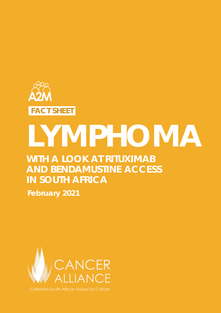

# **LYMPHOMA**

### **WITH A LOOK AT RITUXIMAB AND BENDAMUSTINE ACCESS IN SOUTH AFRICA**

**February 2021**



**Collective South African Voices for Cancer**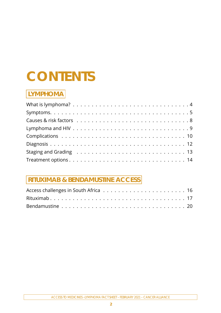## **CONTENTS**

### **LYMPHOMA**

### **RITUXIMAB & BENDAMUSTINE ACCESS**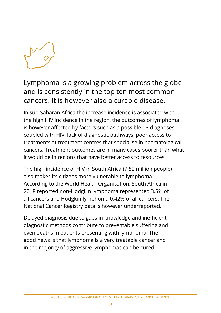

Lymphoma is a growing problem across the globe and is consistently in the top ten most common cancers. It is however also a curable disease.

In sub-Saharan Africa the increase incidence is associated with the high HIV incidence in the region, the outcomes of lymphoma is however affected by factors such as a possible TB diagnoses coupled with HIV, lack of diagnostic pathways, poor access to treatments at treatment centres that specialise in haematological cancers. Treatment outcomes are in many cases poorer than what it would be in regions that have better access to resources.

The high incidence of HIV in South Africa (7.52 million people) also makes its citizens more vulnerable to lymphoma. According to the World Health Organisation, South Africa in 2018 reported non-Hodgkin lymphoma represented 3.5% of all cancers and Hodgkin lymphoma 0.42% of all cancers. The National Cancer Registry data is however underreported.

Delayed diagnosis due to gaps in knowledge and inefficient diagnostic methods contribute to preventable suffering and even deaths in patients presenting with lymphoma. The good news is that lymphoma is a very treatable cancer and in the majority of aggressive lymphomas can be cured.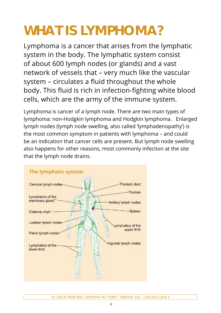# <span id="page-3-0"></span>**WHAT IS LYMPHOMA?**

Lymphoma is a cancer that arises from the lymphatic system in the body. The lymphatic system consist of about 600 lymph nodes (or glands) and a vast network of vessels that – very much like the vascular system – circulates a fluid throughout the whole body. This fluid is rich in infection-fighting white blood cells, which are the army of the immune system.

Lymphoma is cancer of a lymph node. There are two main types of lymphoma: non-Hodgkin lymphoma and Hodgkin lymphoma. Enlarged lymph nodes (lymph node swelling, also called 'lymphadenopathy') is the most common symptom in patients with lymphoma – and could be an indication that cancer cells are present. But lymph node swelling also happens for other reasons, most commonly infection at the site that the lymph node drains.

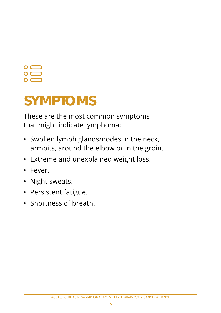# <span id="page-4-0"></span> $\mathbf O$  (

## **SYMPTOMS**

These are the most common symptoms that might indicate lymphoma:

- Swollen lymph glands/nodes in the neck, armpits, around the elbow or in the groin.
- Extreme and unexplained weight loss.
- Fever.
- Night sweats.
- Persistent fatigue.
- Shortness of breath.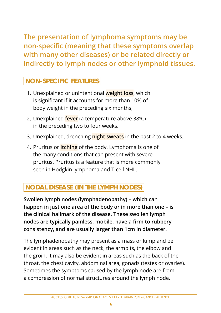**The presentation of lymphoma symptoms may be non-specific (meaning that these symptoms overlap with many other diseases) or be related directly or indirectly to lymph nodes or other lymphoid tissues.** 

### **NON-SPECIFIC FEATURES**

- 1. Unexplained or unintentional **weight loss**, which is significant if it accounts for more than 10% of body weight in the preceding six months,
- 2. Unexplained **fever** (a temperature above 38°C) in the preceding two to four weeks.
- 3. Unexplained, drenching **night sweats** in the past 2 to 4 weeks.
- 4. Pruritus or **itching** of the body. Lymphoma is one of the many conditions that can present with severe pruritus. Pruritus is a feature that is more commonly seen in Hodgkin lymphoma and T-cell NHL.

### **NODAL DISEASE (IN THE LYMPH NODES)**

**Swollen lymph nodes (lymphadenopathy) – which can happen in just one area of the body or in more than one – is the clinical hallmark of the disease. These swollen lymph nodes are typically painless, mobile, have a firm to rubbery consistency, and are usually larger than 1cm in diameter.** 

The lymphadenopathy may present as a mass or lump and be evident in areas such as the neck, the armpits, the elbow and the groin. It may also be evident in areas such as the back of the throat, the chest cavity, abdominal area, gonads (testes or ovaries). Sometimes the symptoms caused by the lymph node are from a compression of normal structures around the lymph node.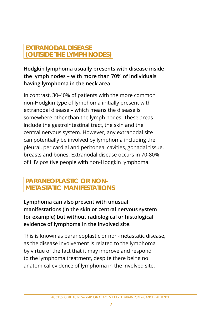### **EXTRANODAL DISEASE (OUTSIDE THE LYMPH NODES)**

**Hodgkin lymphoma usually presents with disease inside the lymph nodes – with more than 70% of individuals having lymphoma in the neck area.** 

In contrast, 30-40% of patients with the more common non-Hodgkin type of lymphoma initially present with extranodal disease – which means the disease is somewhere other than the lymph nodes. These areas include the gastrointestinal tract, the skin and the central nervous system. However, any extranodal site can potentially be involved by lymphoma including the pleural, pericardial and peritoneal cavities, gonadal tissue, breasts and bones. Extranodal disease occurs in 70-80% of HIV positive people with non-Hodgkin lymphoma.

### **PARANEOPLASTIC OR NON-METASTATIC MANIFESTATIONS**

**Lymphoma can also present with unusual manifestations (in the skin or central nervous system for example) but without radiological or histological evidence of lymphoma in the involved site.** 

This is known as paraneoplastic or non-metastatic disease, as the disease involvement is related to the lymphoma by virtue of the fact that it may improve and respond to the lymphoma treatment, despite there being no anatomical evidence of lymphoma in the involved site.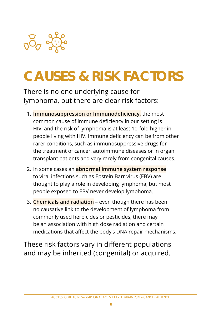<span id="page-7-0"></span>

# **CAUSES & RISK FACTORS**

There is no one underlying cause for lymphoma, but there are clear risk factors:

- 1. **Immunosuppression or Immunodeficiency,** the most common cause of immune deficiency in our setting is HIV, and the risk of lymphoma is at least 10-fold higher in people living with HIV. Immune deficiency can be from other rarer conditions, such as immunosuppressive drugs for the treatment of cancer, autoimmune diseases or in organ transplant patients and very rarely from congenital causes.
- 2. In some cases an **abnormal immune system response** to viral infections such as Epstein Barr virus (EBV) are thought to play a role in developing lymphoma, but most people exposed to EBV never develop lymphoma.
- 3. **Chemicals and radiation** even though there has been no causative link to the development of lymphoma from commonly used herbicides or pesticides, there may be an association with high dose radiation and certain medications that affect the body's DNA repair mechanisms.

These risk factors vary in different populations and may be inherited (congenital) or acquired.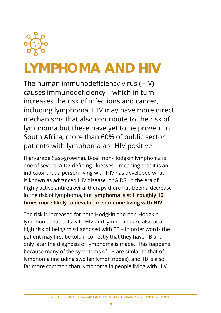<span id="page-8-0"></span>

# **LYMPHOMA AND HIV**

The human immunodeficiency virus (HIV) causes immunodeficiency – which in turn increases the risk of infections and cancer, including lymphoma. HIV may have more direct mechanisms that also contribute to the risk of lymphoma but these have yet to be proven. In South Africa, more than 60% of public sector patients with lymphoma are HIV positive.

High-grade (fast-growing), B-cell non-Hodgkin lymphoma is one of several AIDS-defining illnesses – meaning that it is an indicator that a person living with HIV has developed what is known as advanced HIV disease, or AIDS. In the era of highly active antiretroviral therapy there has been a decrease in the risk of lymphoma, but **lymphoma is still roughly 10 times more likely to develop in someone living with HIV**.

The risk is increased for both Hodgkin and non-Hodgkin lymphoma. Patients with HIV and lymphoma are also at a high risk of being misdiagnosed with TB – in order words the patient may first be told incorrectly that they have TB and only later the diagnosis of lymphoma is made. This happens because many of the symptoms of TB are simlar to that of lymphoma (including swollen lymph nodes), and TB is also far more common than lymphoma in people living with HIV.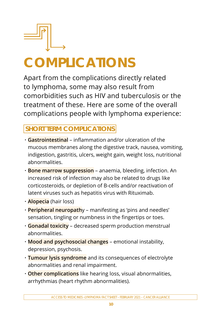<span id="page-9-0"></span>

# **COMPLICATIONS**

Apart from the complications directly related to lymphoma, some may also result from comorbidities such as HIV and tuberculosis or the treatment of these. Here are some of the overall complications people with lymphoma experience:

### **SHORT TERM COMPLICATIONS**

- **· Gastrointestinal** inflammation and/or ulceration of the mucous membranes along the digestive track, nausea, vomiting, indigestion, gastritis, ulcers, weight gain, weight loss, nutritional abnormalities.
- **· Bone marrow suppression** anaemia, bleeding, infection. An increased risk of infection may also be related to drugs like corticosteroids, or depletion of B-cells and/or reactivation of latent viruses such as hepatitis virus with Rituximab.
- **· Alopecia** (hair loss)
- **· Peripheral neuropath**y manifesting as 'pins and needles' sensation, tingling or numbness in the fingertips or toes.
- **· Gonadal toxicity** decreased sperm production menstrual abnormalities.
- **· Mood and psychosocial changes** emotional instability, depression, psychosis.
- **· Tumour lysis syndrome** and its consequences of electrolyte abnormalities and renal impairment.
- **· Other complications** like hearing loss, visual abnormalities, arrhythmias (heart rhythm abnormalities).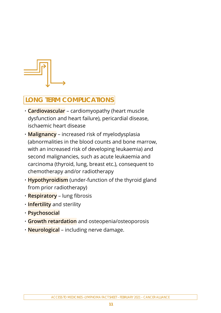

### **LONG TERM COMPLICATIONS**

- **· Cardiovascular** cardiomyopathy (heart muscle dysfunction and heart failure), pericardial disease, ischaemic heart disease
- **· Malignancy** increased risk of myelodysplasia (abnormalities in the blood counts and bone marrow, with an increased risk of developing leukaemia) and second malignancies, such as acute leukaemia and carcinoma (thyroid, lung, breast etc.), consequent to chemotherapy and/or radiotherapy
- **· Hypothyroidism** (under-function of the thyroid gland from prior radiotherapy)
- **· Respiratory** lung fibrosis
- **· Infertility** and sterility
- **· Psychosocial**
- **· Growth retardation** and osteopenia/osteoporosis
- **· Neurological** including nerve damage.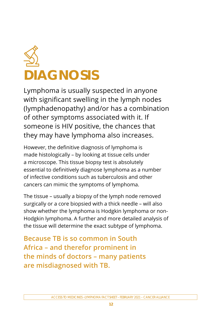<span id="page-11-0"></span>

Lymphoma is usually suspected in anyone with significant swelling in the lymph nodes (lymphadenopathy) and/or has a combination of other symptoms associated with it. If someone is HIV positive, the chances that they may have lymphoma also increases.

However, the definitive diagnosis of lymphoma is made histologically – by looking at tissue cells under a microscope. This tissue biopsy test is absolutely essential to definitively diagnose lymphoma as a number of infective conditions such as tuberculosis and other cancers can mimic the symptoms of lymphoma.

The tissue – usually a biopsy of the lymph node removed surgically or a core biopsied with a thick needle – will also show whether the lymphoma is Hodgkin lymphoma or non-Hodgkin lymphoma. A further and more detailed analysis of the tissue will determine the exact subtype of lymphoma.

**Because TB is so common in South Africa – and therefor prominent in the minds of doctors – many patients are misdiagnosed with TB.**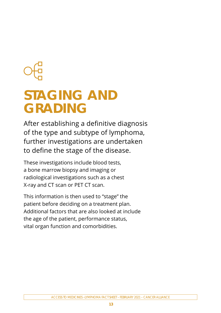### <span id="page-12-0"></span>**STAGING AND GRADING**

After establishing a definitive diagnosis of the type and subtype of lymphoma, further investigations are undertaken to define the stage of the disease.

These investigations include blood tests, a bone marrow biopsy and imaging or radiological investigations such as a chest X-ray and CT scan or PET CT scan.

This information is then used to "stage" the patient before deciding on a treatment plan. Additional factors that are also looked at include the age of the patient, performance status, vital organ function and comorbidities.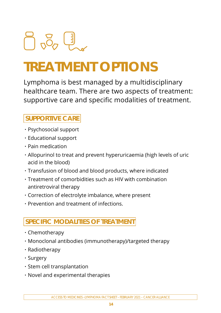# <span id="page-13-0"></span> $\frac{1}{2}$   $\frac{1}{2}$   $\frac{1}{2}$   $\frac{1}{2}$   $\frac{1}{2}$

# **TREATMENT OPTIONS**

Lymphoma is best managed by a multidisciplinary healthcare team. There are two aspects of treatment: supportive care and specific modalities of treatment.

### **SUPPORTIVE CARE**

- **·** Psychosocial support
- **·** Educational support
- **·** Pain medication
- **·** Allopurinol to treat and prevent hyperuricaemia (high levels of uric acid in the blood)
- **·** Transfusion of blood and blood products, where indicated
- **·** Treatment of comorbidities such as HIV with combination antiretroviral therapy
- **·** Correction of electrolyte imbalance, where present
- **·** Prevention and treatment of infections.

### **SPECIFIC MODALITIES OF TREATMENT**

- **·** Chemotherapy
- **·** Monoclonal antibodies (immunotherapy)/targeted therapy
- **·** Radiotherapy
- **·** Surgery
- **·** Stem cell transplantation
- **·** Novel and experimental therapies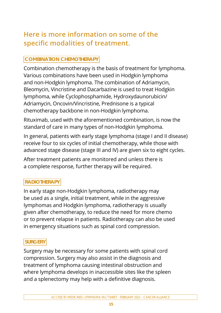### **Here is more information on some of the specific modalities of treatment.**

### **COMBINATION CHEMOTHERAPY**

Combination chemotherapy is the basis of treatment for lymphoma. Various combinations have been used in Hodgkin lymphoma and non-Hodgkin lymphoma. The combination of Adriamycin, Bleomycin, Vincristine and Dacarbazine is used to treat Hodgkin lymphoma, while Cyclophosphamide, Hydroxydaunorubicin/ Adriamycin, Oncovin/Vincristine, Prednisone is a typical chemotherapy backbone in non-Hodgkin lymphoma.

Rituximab, used with the aforementioned combination, is now the standard of care in many types of non-Hodgkin lymphoma.

In general, patients with early stage lymphoma (stage I and II disease) receive four to six cycles of initial chemotherapy, while those with advanced stage disease (stage III and IV) are given six to eight cycles.

After treatment patients are monitored and unless there is a complete response, further therapy will be required.

### **RADIOTHERAPY**

In early stage non-Hodgkin lymphoma, radiotherapy may be used as a single, initial treatment, while in the aggressive lymphomas and Hodgkin lymphoma, radiotherapy is usually given after chemotherapy, to reduce the need for more chemo or to prevent relapse in patients. Radiotherapy can also be used in emergency situations such as spinal cord compression.

### **SURGERY**

Surgery may be necessary for some patients with spinal cord compression. Surgery may also assist in the diagnosis and treatment of lymphoma causing intestinal obstruction and where lymphoma develops in inaccessible sites like the spleen and a splenectomy may help with a definitive diagnosis.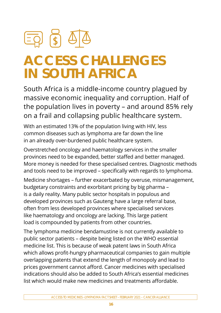<span id="page-15-0"></span>

## **ACCESS CHALLENGES IN SOUTH AFRICA**

South Africa is a middle-income country plagued by massive economic inequality and corruption. Half of the population lives in poverty – and around 85% rely on a frail and collapsing public healthcare system.

With an estimated 13% of the population living with HIV, less common diseases such as lymphoma are far down the line in an already over-burdened public healthcare system.

Overstretched oncology and haematology services in the smaller provinces need to be expanded, better staffed and better managed. More money is needed for these specialised centres. Diagnostic methods and tools need to be improved – specifically with regards to lymphoma.

Medicine shortages – further exacerbated by overuse, mismanagement, budgetary constraints and exorbitant pricing by big pharma – is a daily reality. Many public sector hospitals in populous and developed provinces such as Gauteng have a large referral base, often from less developed provinces where specialised services like haematology and oncology are lacking. This large patient load is compounded by patients from other countries.

The lymphoma medicine bendamustine is not currently available to public sector patients – despite being listed on the WHO essential medicine list. This is because of weak patent laws in South Africa which allows profit-hungry pharmaceutical companies to gain multiple overlapping patents that extend the length of monopoly and lead to prices government cannot afford. Cancer medicines with specialised indications should also be added to South Africa's essential medicines list which would make new medicines and treatments affordable.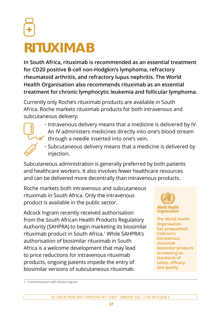# <span id="page-16-0"></span>**RITUXIMAB**

**In South Africa, rituximab is recommended as an essential treatment for CD20 positive B-cell non-Hodgkin's lymphoma, refractory rheumatoid arthritis, and refractory lupus nephritis. The World Health Organisation also recommends rituximab as an essential treatment for chronic lymphocytic leukemia and follicular lymphoma.**

Currently only Roche's rituximab products are available in South Africa. Roche markets rituximab products for both intravenous and subcutaneous delivery:

- **·** Intravenous delivery means that a medicine is delivered by IV. An IV administers medicines directly into one's blood stream through a needle inserted into one's vein.
	- **·** Subcutaneous delivery means that a medicine is delivered by injection.

Subcutaneous administration is generally preferred by both patients and healthcare workers. It also involves fewer healthcare resources and can be delivered more decentrally than intravenous products.

Roche markets both intravenous and subcutaneous rituximab in South Africa. Only the intravenous product is available in the public sector.

Adcock Ingram recently received authorisation from the South African Health Products Regulatory Authority (SAHPRA) to begin marketing its biosimilar rituximab product in South Africa. 1 While SAHPRA's authorisation of biosimilar rituximab in South Africa is a welcome development that may lead to price reductions for intravenous rituximab products, ongoing patents impede the entry of biosimilar versions of subcutaneous rituximab.



**The World Health Organisation has prequalified Celltrion's intravenous rituximab biosimilar products as meeting its standards of safety, efficacy, and quality.** 

<sup>1.</sup> Communication with Adcock Ingram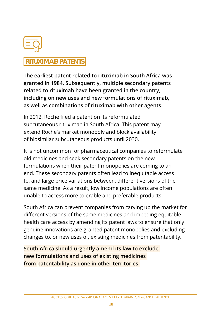

### **RITUXIMAB PATENTS**

**The earliest patent related to rituximab in South Africa was granted in 1984. Subsequently, multiple secondary patents related to rituximab have been granted in the country, including on new uses and new formulations of rituximab, as well as combinations of rituximab with other agents.** 

In 2012, Roche filed a patent on its reformulated subcutaneous rituximab in South Africa. This patent may extend Roche's market monopoly and block availability of biosimilar subcutaneous products until 2030.

It is not uncommon for pharmaceutical companies to reformulate old medicines and seek secondary patents on the new formulations when their patent monopolies are coming to an end. These secondary patents often lead to inequitable access to, and large price variations between, different versions of the same medicine. As a result, low income populations are often unable to access more tolerable and preferable products.

South Africa can prevent companies from carving up the market for different versions of the same medicines and impeding equitable health care access by amending its patent laws to ensure that only genuine innovations are granted patent monopolies and excluding changes to, or new uses of, existing medicines from patentability.

**South Africa should urgently amend its law to exclude new formulations and uses of existing medicines from patentability as done in other territories.**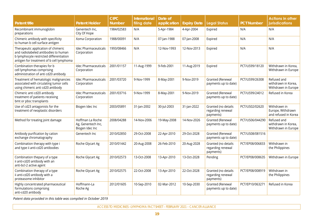| <b>Patent title</b>                                                                                                                                                | <b>Patent Holder</b>                                      | <b>CIPC</b><br><b>Number</b> | <b>International</b><br>filing date | Date of<br>application | <b>Expiry Date</b> | <b>Legal Status</b>                                   | <b>PCT Number</b> | <b>Actions in other</b><br>jurisdications                 |
|--------------------------------------------------------------------------------------------------------------------------------------------------------------------|-----------------------------------------------------------|------------------------------|-------------------------------------|------------------------|--------------------|-------------------------------------------------------|-------------------|-----------------------------------------------------------|
| Recombinant immunoglobin<br>preparations                                                                                                                           | Genentech Inc,<br>City Of Hope                            | 1984/02583                   | N/A                                 | 5-Apr-1984             | 4-Apr-2004         | Expired                                               | N/A               | N/A                                                       |
| Chimeric antibody with specificity<br>to human b cell surface antigen                                                                                              | Xoma Corporation                                          | 1988/00091                   | N/A                                 | 07-Jan-1988            | 07-Jan-2008        | Expired                                               | N/A               | N/A                                                       |
| Therapeutic application of chimeric<br>and radiolabeled antibodies to human<br>b lymphocyte restricted differentiation<br>antigen for treatment of b cell lymphoma | <b>Idec Pharmaceuticals</b><br>Corporation                | 1993/08466                   | N/A                                 | 12-Nov-1993            | 12-Nov-2013        | Expired                                               | N/A               | N/A                                                       |
| Combination therapies for b<br>cell lymphomas comprising<br>administration of anti cd20 antibody                                                                   | <b>Idec Pharmaceuticals</b><br>Corporation                | 2001/01157                   | 11-Aug-1999                         | 9-Feb-2001             | 11-Aug-2019        | Expired                                               | PCT/US99/18120    | Withdrawn in Korea,<br>Withdrawn in Europe                |
| Treatment of hematologic malignancies<br>associated with circulating tumor cells<br>using chimeric anti cd20 antibody                                              | <b>Idec Pharmaceuticals</b><br>Corporation                | 2001/03720                   | 9-Nov-1999                          | 8-May-2001             | 9-Nov-2019         | Granted (Renewal<br>payments up to date)              | PCT/US99/26308    | Refused and<br>withdrawn in Korea,<br>Withdrawn in Europe |
| Chimeric anti cd20 antibody<br>treatment of patients receiving<br>bmt or pbsc transplants                                                                          | <b>Idec Pharmaceuticals</b><br>Corporation                | 2001/03716                   | 9-Nov-1999                          | 8-May-2001             | 9-Nov-2019         | <b>Granted (Renewal</b><br>payments up to date)       | PCT/US99/24012    | Refused in Korea                                          |
| Use of cd23 antagonists for the<br>treatment of neoplastic disorders                                                                                               | Biogen Idec Inc                                           | 2003/05891                   | 31-Jan-2002                         | 30-Jul-2003            | 31-Jan-2022        | Granted (no details<br>regarding renewal<br>payments) | PCT/US02/02620    | Withdrawn in<br>Europe, Withdrawn<br>and refused in Korea |
| Method for treating joint damage                                                                                                                                   | Hoffman La Roche<br>Ag, Genentech Inc,<br>Biogen Idec Inc | 2008/04288                   | 14-Nov-2006                         | 19-May-2008            | 14-Nov-2026        | Granted (Renewal<br>payments up to date)              | PCT/US06/044290   | Refused and<br>withdrawn in Korea,<br>Withdrawn in Europe |
| Antibody purification by cation<br>exchange chromatography                                                                                                         | Genentech Inc                                             | 2010/02850                   | 29-Oct-2008                         | 22-Apr-2010            | 29-Oct-2028        | Granted (Renewal<br>payments up to date)              | PCT/US08/081516   |                                                           |
| Combination therapy with type i<br>and type ii anti-cd20 antibodies                                                                                                | Roche Glycart Ag                                          | 2010/01442                   | 20-Aug-2008                         | 26-Feb-2010            | 20-Aug-2028        | Granted (no details<br>regarding renewal<br>payments) | PCT/EP08/006833   | Withdrawn in<br>the Philippines                           |
| Combination thepary of a type<br>ii anti-cd20 antibody with an<br>anti-bcl-2 active agent                                                                          | Roche Glycart Ag                                          | 2010/02573                   | 13-Oct-2008                         | 13-Apr-2010            | 13-Oct-2028        | Pending                                               | PCT/EP08/008635   | Withdrawn in Europe                                       |
| Combination therapy of a type<br>ii anti-cd20 antibody with a<br>proteasome inhibitor                                                                              | Roche Glycart Ag                                          | 2010/02575                   | 22-Oct-2008                         | 13-Apr-2010            | 22-Oct-2028        | Granted (no details<br>regarding renewal<br>payments) | PCT/EP08/008919   | Withdrawn in<br>the Philippines                           |
| Highly concentrated pharmaceutical<br>formulations comprising<br>anti-cd20 antibody                                                                                | Hoffmann-La<br>Roche Ag                                   | 2012/01605                   | 10-Sep-2010                         | 02-Mar-2012            | 10-Sep-2030        | Granted (Renewal<br>payments up to date)              | PCT/EP10/063271   | Refused in Korea                                          |

*Patent data provided in this table was compiled in October 2019*

ACCESS TO MEDICINES –LYMPHOMA FACT SHEET – FEBRUARY 2021 – CANCER ALLIANCE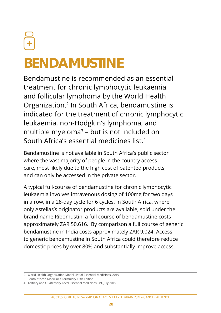# <span id="page-19-0"></span>**BENDAMUSTINE**

Bendamustine is recommended as an essential treatment for chronic lymphocytic leukaemia and follicular lymphoma by the World Health Organization. 2 In South Africa, bendamustine is indicated for the treatment of chronic lymphocytic leukaemia, non-Hodgkin's lymphoma, and multiple myeloma $3$  – but is not included on South Africa's essential medicines list. 4

Bendamustine is not available in South Africa's public sector where the vast majority of people in the country access care, most likely due to the high cost of patented products, and can only be accessed in the private sector.

A typical full-course of bendamustine for chronic lymphocytic leukaemia involves intravenous dosing of 100mg for two days in a row, in a 28-day cycle for 6 cycles. In South Africa, where only Astellas's originator products are available, sold under the brand name Ribomustin, a full course of bendamustine costs approximately ZAR 50,616. By comparison a full course of generic bendamustine in India costs approximately ZAR 9,024. Access to generic bendamustine in South Africa could therefore reduce domestic prices by over 80% and substantially improve access.

<sup>2.</sup> World Health Organization Model List of Essential Medicines, 2019

<sup>3.</sup> South African Medicines Formulary 12th Edition

<sup>4.</sup> Tertiary and Quaternary Level Essential Medicines List, July 2019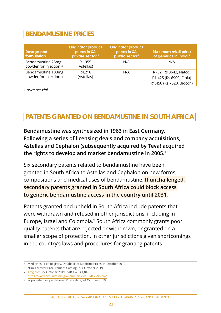### **BENDAMUSTINE PRICES**

| <b>Dosage and</b><br>formulation             | <b>Originator product</b><br>prices in SA<br>private sector <sup>5</sup> | <b>Originator product</b><br>prices in SA<br>public sector <sup>6</sup> | <b>Maximum retail price</b><br>of generics in India <sup>7</sup>             |
|----------------------------------------------|--------------------------------------------------------------------------|-------------------------------------------------------------------------|------------------------------------------------------------------------------|
| Bendamustine 25mg<br>powder for injection +  | R <sub>1</sub> ,055<br>(Astellas)                                        | N/A                                                                     | N/A                                                                          |
| Bendamustine 100mg<br>powder for injection + | R4,218<br>(Astellas)                                                     | N/A                                                                     | R752 (Rs 3643, Natco)<br>R1,425 (Rs 6900, Cipla)<br>R1,450 (Rs 7020, Biocon) |

*+ price per vial*

### **PATENTS GRANTED ON BENDAMUSTINE IN SOUTH AFRICA**

**Bendamustine was synthesized in 1963 in East Germany. Following a series of licensing deals and company acquisitions, Astellas and Cephalon (subsequently acquired by Teva) acquired the rights to develop and market bendamustine in 2005.8**

Six secondary patents related to bendamustine have been granted in South Africa to Astellas and Cephalon on new forms, compositions and medical uses of bendamustine. **If unchallenged, secondary patents granted in South Africa could block access to generic bendamustine access in the country until 2031**.

Patents granted and upheld in South Africa include patents that were withdrawn and refused in other jurisdictions, including in Europe, Israel and Colombia. 9 South Africa commonly grants poor quality patents that are rejected or withdrawn, or granted on a smaller scope of protection, in other jurisdictions given shortcomings in the country's laws and procedures for granting patents.

<sup>5.</sup> Medicines Price Registry, Database of Medicine Prices 14 October 2019

<sup>6.</sup> NDoH Master Procurement Catalogue, 4 October 2019

<sup>7.</sup> [1mg.com](http://1mg.com), 27 October 2019, ZAR 1 = Rs 4,84

<sup>8.</sup> <https://www.ncbi.nlm.nih.gov/pmc/articles/PMC2795094/>

<sup>9.</sup> Wipo Patentscope National Phase data, 24 October 2019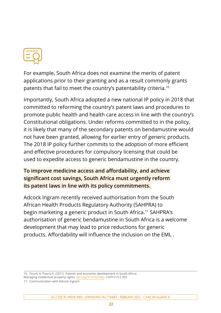

For example, South Africa does not examine the merits of patent applications prior to their granting and as a result commonly grants patents that fail to meet the country's patentability criteria. 10

Importantly, South Africa adopted a new national IP policy in 2018 that committed to reforming the country's patent laws and procedures to promote public health and health care access in line with the country's Constitutional obligations. Under reforms committed to in the policy, it is likely that many of the secondary patents on bendamustine would not have been granted, allowing for earlier entry of generic products. The 2018 IP policy further commits to the adoption of more efficient and effective procedures for compulsory licensing that could be used to expedite access to generic bendamustine in the country.

#### **To improve medicine access and affordability, and achieve significant cost savings, South Africa must urgently reform its patent laws in line with its policy commitments.**

Adcock Ingram recently received authorisation from the South African Health Products Regulatory Authority (SAHPRA) to begin marketing a generic product in South Africa. 11 SAHPRA's authorisation of generic bendamustine in South Africa is a welcome development that may lead to price reductions for generic products. Affordability will influence the inclusion on the EML .

10. Pouris A, Pouris A. (2011). Patents and economic development in South Africa: Managing intellectual property rights. [doi.org/10.4102/sajs](http://doi.org/10.4102/sajs). v107i11/12.355

11. Communication with Adcock Ingram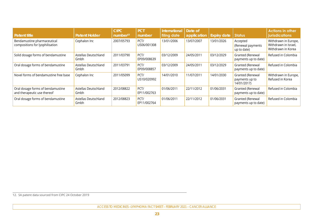| <b>Patent title</b>                                              | <b>Patent Holder</b>         | <b>CIPC</b><br>number <sup>12</sup> | <b>PCT</b><br>number | International<br>filing date | Date of<br>application | <b>Expiry date</b> | <b>Status</b>                                     | <b>Actions in other</b><br>jurisdications                          |
|------------------------------------------------------------------|------------------------------|-------------------------------------|----------------------|------------------------------|------------------------|--------------------|---------------------------------------------------|--------------------------------------------------------------------|
| Bendamustine pharmaceutical<br>compositions for lyophilisation   | Cephalon Inc                 | 2007/05793                          | PCT/<br>US06/001308  | 13/01/2006                   | 13/07/2007             | 13/01/2026         | Accepted<br>(Renewal payments<br>up to date)      | Withdrawn in Europe,<br>Withdrawn in Israel,<br>Withdrawn in Korea |
| Solid dosage forms of bendamustine                               | Astellas Deutschland<br>Gmbh | 2011/03790                          | PCT/<br>EP09/008639  | 03/12/2009                   | 24/05/2011             | 03/12/2029         | Granted (Renewal<br>payments up to date)          | Refused in Colombia                                                |
| Oral dosage forms of bendamustine                                | Astellas Deutschland<br>Gmbh | 2011/03791                          | PCT/<br>EP09/008857  | 03/12/2009                   | 24/05/2011             | 03/12/2029         | Granted (Renewal<br>payments up to date)          | Refused in Colombia                                                |
| Novel forms of bendamustine free base                            | Cephalon Inc                 | 2011/05099                          | PCT/<br>US10/020992  | 14/01/2010                   | 11/07/2011             | 14/01/2030         | Granted (Renewal<br>payments up to<br>14/01/2017) | Withdrawn in Europe,<br>Refused in Korea                           |
| Oral dosage forms of bendamustine<br>and therapeutic use thereof | Astellas Deutschland<br>Gmbh | 2012/08822                          | PCT/<br>EP11/002763  | 01/06/2011                   | 22/11/2012             | 01/06/2031         | Granted (Renewal<br>payments up to date)          | Refused in Colombia                                                |
| Oral dosage forms of bendamustine                                | Astellas Deutschland<br>Gmbh | 2012/08823                          | PCT/<br>EP11/002764  | 01/06/2011                   | 22/11/2012             | 01/06/2031         | Granted (Renewal<br>payments up to date)          | Refused in Colombia                                                |

12. SA patent data sourced from CIPC 24 October 2019